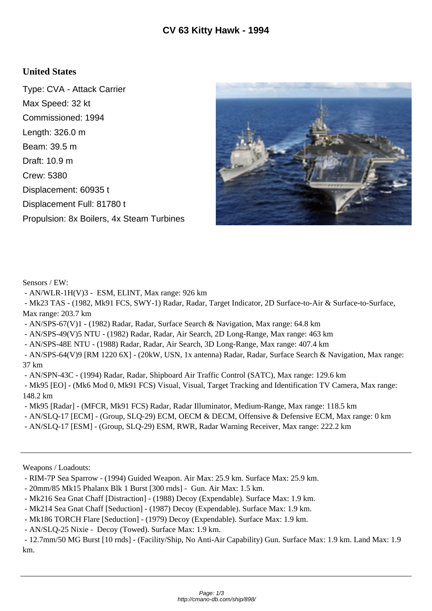## **United States**

Type: CVA - Attack Carrier Max Speed: 32 kt Commissioned: 1994 Length: 326.0 m Beam: 39.5 m Draft: 10.9 m Crew: 5380 Displacement: 60935 t Displacement Full: 81780 t Propulsion: 8x Boilers, 4x Steam Turbines



Sensors / EW:

- AN/WLR-1H(V)3 - ESM, ELINT, Max range: 926 km

 - Mk23 TAS - (1982, Mk91 FCS, SWY-1) Radar, Radar, Target Indicator, 2D Surface-to-Air & Surface-to-Surface, Max range: 203.7 km

- AN/SPS-67(V)1 - (1982) Radar, Radar, Surface Search & Navigation, Max range: 64.8 km

- AN/SPS-49(V)5 NTU - (1982) Radar, Radar, Air Search, 2D Long-Range, Max range: 463 km

- AN/SPS-48E NTU - (1988) Radar, Radar, Air Search, 3D Long-Range, Max range: 407.4 km

 - AN/SPS-64(V)9 [RM 1220 6X] - (20kW, USN, 1x antenna) Radar, Radar, Surface Search & Navigation, Max range: 37 km

- AN/SPN-43C - (1994) Radar, Radar, Shipboard Air Traffic Control (SATC), Max range: 129.6 km

 - Mk95 [EO] - (Mk6 Mod 0, Mk91 FCS) Visual, Visual, Target Tracking and Identification TV Camera, Max range: 148.2 km

- Mk95 [Radar] - (MFCR, Mk91 FCS) Radar, Radar Illuminator, Medium-Range, Max range: 118.5 km

- AN/SLQ-17 [ECM] - (Group, SLQ-29) ECM, OECM & DECM, Offensive & Defensive ECM, Max range: 0 km

- AN/SLQ-17 [ESM] - (Group, SLQ-29) ESM, RWR, Radar Warning Receiver, Max range: 222.2 km

Weapons / Loadouts:

- 20mm/85 Mk15 Phalanx Blk 1 Burst [300 rnds] Gun. Air Max: 1.5 km.
- Mk216 Sea Gnat Chaff [Distraction] (1988) Decoy (Expendable). Surface Max: 1.9 km.
- Mk214 Sea Gnat Chaff [Seduction] (1987) Decoy (Expendable). Surface Max: 1.9 km.
- Mk186 TORCH Flare [Seduction] (1979) Decoy (Expendable). Surface Max: 1.9 km.

- AN/SLQ-25 Nixie - Decoy (Towed). Surface Max: 1.9 km.

 - 12.7mm/50 MG Burst [10 rnds] - (Facility/Ship, No Anti-Air Capability) Gun. Surface Max: 1.9 km. Land Max: 1.9 km.

 <sup>-</sup> RIM-7P Sea Sparrow - (1994) Guided Weapon. Air Max: 25.9 km. Surface Max: 25.9 km.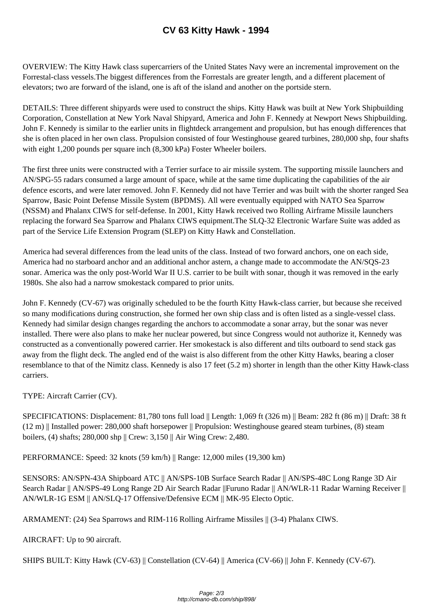OVERVIEW: The Kitty Hawk class superc[arriers of the United States Navy w](http://cmano-db.com/ship/898/)ere an incremental improvement on the Forrestal-class vessels.The biggest differences from the Forrestals are greater length, and a different placement of elevators; two are forward of the island, one is aft of the island and another on the portside stern.

DETAILS: Three different shipyards were used to construct the ships. Kitty Hawk was built at New York Shipbuilding Corporation, Constellation at New York Naval Shipyard, America and John F. Kennedy at Newport News Shipbuilding. John F. Kennedy is similar to the earlier units in flightdeck arrangement and propulsion, but has enough differences that she is often placed in her own class. Propulsion consisted of four Westinghouse geared turbines, 280,000 shp, four shafts with eight 1,200 pounds per square inch (8,300 kPa) Foster Wheeler boilers.

The first three units were constructed with a Terrier surface to air missile system. The supporting missile launchers and AN/SPG-55 radars consumed a large amount of space, while at the same time duplicating the capabilities of the air defence escorts, and were later removed. John F. Kennedy did not have Terrier and was built with the shorter ranged Sea Sparrow, Basic Point Defense Missile System (BPDMS). All were eventually equipped with NATO Sea Sparrow (NSSM) and Phalanx CIWS for self-defense. In 2001, Kitty Hawk received two Rolling Airframe Missile launchers replacing the forward Sea Sparrow and Phalanx CIWS equipment.The SLQ-32 Electronic Warfare Suite was added as part of the Service Life Extension Program (SLEP) on Kitty Hawk and Constellation.

America had several differences from the lead units of the class. Instead of two forward anchors, one on each side, America had no starboard anchor and an additional anchor astern, a change made to accommodate the AN/SQS-23 sonar. America was the only post-World War II U.S. carrier to be built with sonar, though it was removed in the early 1980s. She also had a narrow smokestack compared to prior units.

John F. Kennedy (CV-67) was originally scheduled to be the fourth Kitty Hawk-class carrier, but because she received so many modifications during construction, she formed her own ship class and is often listed as a single-vessel class. Kennedy had similar design changes regarding the anchors to accommodate a sonar array, but the sonar was never installed. There were also plans to make her nuclear powered, but since Congress would not authorize it, Kennedy was constructed as a conventionally powered carrier. Her smokestack is also different and tilts outboard to send stack gas away from the flight deck. The angled end of the waist is also different from the other Kitty Hawks, bearing a closer resemblance to that of the Nimitz class. Kennedy is also 17 feet (5.2 m) shorter in length than the other Kitty Hawk-class carriers.

TYPE: Aircraft Carrier (CV).

SPECIFICATIONS: Displacement: 81,780 tons full load || Length: 1,069 ft (326 m) || Beam: 282 ft (86 m) || Draft: 38 ft (12 m) || Installed power: 280,000 shaft horsepower || Propulsion: Westinghouse geared steam turbines, (8) steam boilers, (4) shafts; 280,000 shp || Crew: 3,150 || Air Wing Crew: 2,480.

PERFORMANCE: Speed: 32 knots (59 km/h) || Range: 12,000 miles (19,300 km)

SENSORS: AN/SPN-43A Shipboard ATC || AN/SPS-10B Surface Search Radar || AN/SPS-48C Long Range 3D Air Search Radar || AN/SPS-49 Long Range 2D Air Search Radar ||Furuno Radar || AN/WLR-11 Radar Warning Receiver || AN/WLR-1G ESM || AN/SLQ-17 Offensive/Defensive ECM || MK-95 Electo Optic.

ARMAMENT: (24) Sea Sparrows and RIM-116 Rolling Airframe Missiles || (3-4) Phalanx CIWS.

AIRCRAFT: Up to 90 aircraft.

SHIPS BUILT: Kitty Hawk (CV-63) || Constellation (CV-64) || America (CV-66) || John F. Kennedy (CV-67).